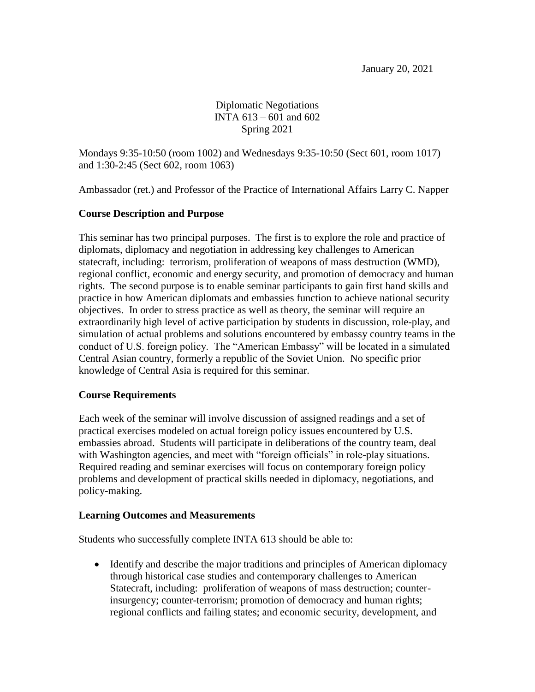Diplomatic Negotiations INTA 613 – 601 and 602 Spring 2021

Mondays 9:35-10:50 (room 1002) and Wednesdays 9:35-10:50 (Sect 601, room 1017) and 1:30-2:45 (Sect 602, room 1063)

Ambassador (ret.) and Professor of the Practice of International Affairs Larry C. Napper

## **Course Description and Purpose**

This seminar has two principal purposes. The first is to explore the role and practice of diplomats, diplomacy and negotiation in addressing key challenges to American statecraft, including: terrorism, proliferation of weapons of mass destruction (WMD), regional conflict, economic and energy security, and promotion of democracy and human rights. The second purpose is to enable seminar participants to gain first hand skills and practice in how American diplomats and embassies function to achieve national security objectives. In order to stress practice as well as theory, the seminar will require an extraordinarily high level of active participation by students in discussion, role-play, and simulation of actual problems and solutions encountered by embassy country teams in the conduct of U.S. foreign policy. The "American Embassy" will be located in a simulated Central Asian country, formerly a republic of the Soviet Union. No specific prior knowledge of Central Asia is required for this seminar.

#### **Course Requirements**

Each week of the seminar will involve discussion of assigned readings and a set of practical exercises modeled on actual foreign policy issues encountered by U.S. embassies abroad. Students will participate in deliberations of the country team, deal with Washington agencies, and meet with "foreign officials" in role-play situations. Required reading and seminar exercises will focus on contemporary foreign policy problems and development of practical skills needed in diplomacy, negotiations, and policy-making.

#### **Learning Outcomes and Measurements**

Students who successfully complete INTA 613 should be able to:

 Identify and describe the major traditions and principles of American diplomacy through historical case studies and contemporary challenges to American Statecraft, including: proliferation of weapons of mass destruction; counterinsurgency; counter-terrorism; promotion of democracy and human rights; regional conflicts and failing states; and economic security, development, and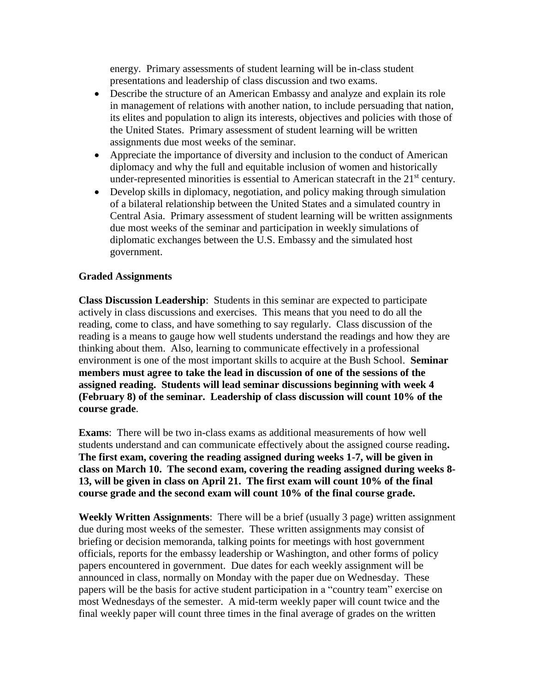energy. Primary assessments of student learning will be in-class student presentations and leadership of class discussion and two exams.

- Describe the structure of an American Embassy and analyze and explain its role in management of relations with another nation, to include persuading that nation, its elites and population to align its interests, objectives and policies with those of the United States. Primary assessment of student learning will be written assignments due most weeks of the seminar.
- Appreciate the importance of diversity and inclusion to the conduct of American diplomacy and why the full and equitable inclusion of women and historically under-represented minorities is essential to American statecraft in the  $21<sup>st</sup>$  century.
- Develop skills in diplomacy, negotiation, and policy making through simulation of a bilateral relationship between the United States and a simulated country in Central Asia. Primary assessment of student learning will be written assignments due most weeks of the seminar and participation in weekly simulations of diplomatic exchanges between the U.S. Embassy and the simulated host government.

## **Graded Assignments**

**Class Discussion Leadership**: Students in this seminar are expected to participate actively in class discussions and exercises. This means that you need to do all the reading, come to class, and have something to say regularly. Class discussion of the reading is a means to gauge how well students understand the readings and how they are thinking about them. Also, learning to communicate effectively in a professional environment is one of the most important skills to acquire at the Bush School. **Seminar members must agree to take the lead in discussion of one of the sessions of the assigned reading. Students will lead seminar discussions beginning with week 4 (February 8) of the seminar. Leadership of class discussion will count 10% of the course grade**.

**Exams**: There will be two in-class exams as additional measurements of how well students understand and can communicate effectively about the assigned course reading**. The first exam, covering the reading assigned during weeks 1-7, will be given in class on March 10. The second exam, covering the reading assigned during weeks 8- 13, will be given in class on April 21. The first exam will count 10% of the final course grade and the second exam will count 10% of the final course grade.**

**Weekly Written Assignments**: There will be a brief (usually 3 page) written assignment due during most weeks of the semester. These written assignments may consist of briefing or decision memoranda, talking points for meetings with host government officials, reports for the embassy leadership or Washington, and other forms of policy papers encountered in government. Due dates for each weekly assignment will be announced in class, normally on Monday with the paper due on Wednesday. These papers will be the basis for active student participation in a "country team" exercise on most Wednesdays of the semester. A mid-term weekly paper will count twice and the final weekly paper will count three times in the final average of grades on the written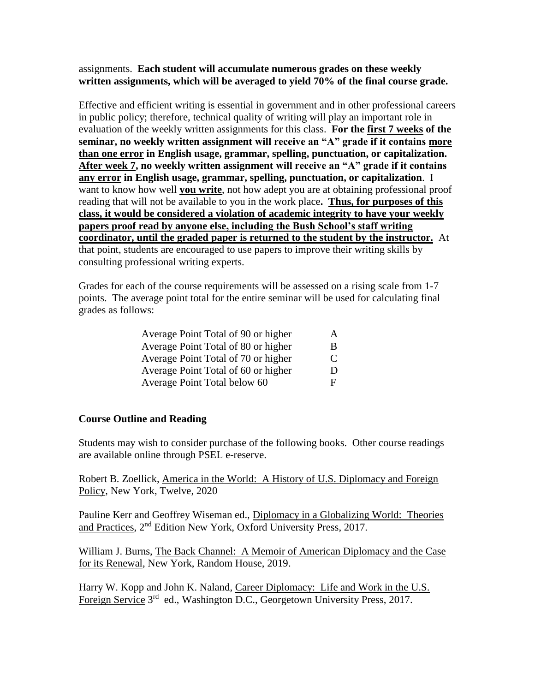## assignments. **Each student will accumulate numerous grades on these weekly written assignments, which will be averaged to yield 70% of the final course grade.**

Effective and efficient writing is essential in government and in other professional careers in public policy; therefore, technical quality of writing will play an important role in evaluation of the weekly written assignments for this class. **For the first 7 weeks of the seminar, no weekly written assignment will receive an "A" grade if it contains more than one error in English usage, grammar, spelling, punctuation, or capitalization. After week 7, no weekly written assignment will receive an "A" grade if it contains any error in English usage, grammar, spelling, punctuation, or capitalization**. I want to know how well **you write**, not how adept you are at obtaining professional proof reading that will not be available to you in the work place**. Thus, for purposes of this class, it would be considered a violation of academic integrity to have your weekly papers proof read by anyone else, including the Bush School's staff writing coordinator, until the graded paper is returned to the student by the instructor.** At that point, students are encouraged to use papers to improve their writing skills by consulting professional writing experts.

Grades for each of the course requirements will be assessed on a rising scale from 1-7 points. The average point total for the entire seminar will be used for calculating final grades as follows:

| Average Point Total of 90 or higher | A  |
|-------------------------------------|----|
| Average Point Total of 80 or higher | B. |
| Average Point Total of 70 or higher | C  |
| Average Point Total of 60 or higher | D  |
| Average Point Total below 60        |    |

# **Course Outline and Reading**

Students may wish to consider purchase of the following books. Other course readings are available online through PSEL e-reserve.

Robert B. Zoellick, America in the World: A History of U.S. Diplomacy and Foreign Policy, New York, Twelve, 2020

Pauline Kerr and Geoffrey Wiseman ed., Diplomacy in a Globalizing World: Theories and Practices, 2<sup>nd</sup> Edition New York, Oxford University Press, 2017.

William J. Burns, The Back Channel: A Memoir of American Diplomacy and the Case for its Renewal, New York, Random House, 2019.

Harry W. Kopp and John K. Naland, Career Diplomacy: Life and Work in the U.S. Foreign Service 3<sup>rd</sup> ed., Washington D.C., Georgetown University Press, 2017.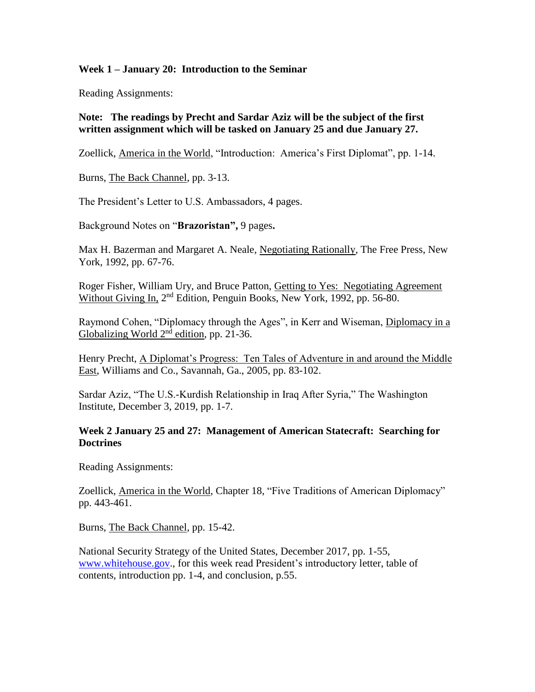### **Week 1 – January 20: Introduction to the Seminar**

Reading Assignments:

# **Note: The readings by Precht and Sardar Aziz will be the subject of the first written assignment which will be tasked on January 25 and due January 27.**

Zoellick, America in the World, "Introduction: America's First Diplomat", pp. 1-14.

Burns, The Back Channel, pp. 3-13.

The President's Letter to U.S. Ambassadors, 4 pages.

Background Notes on "**Brazoristan",** 9 pages**.**

Max H. Bazerman and Margaret A. Neale, Negotiating Rationally, The Free Press, New York, 1992, pp. 67-76.

Roger Fisher, William Ury, and Bruce Patton, Getting to Yes: Negotiating Agreement Without Giving In, 2<sup>nd</sup> Edition, Penguin Books, New York, 1992, pp. 56-80.

Raymond Cohen, "Diplomacy through the Ages", in Kerr and Wiseman, Diplomacy in a Globalizing World  $2<sup>nd</sup>$  edition, pp. 21-36.

Henry Precht, A Diplomat's Progress: Ten Tales of Adventure in and around the Middle East, Williams and Co., Savannah, Ga., 2005, pp. 83-102.

Sardar Aziz, "The U.S.-Kurdish Relationship in Iraq After Syria," The Washington Institute, December 3, 2019, pp. 1-7.

## **Week 2 January 25 and 27: Management of American Statecraft: Searching for Doctrines**

Reading Assignments:

Zoellick, America in the World, Chapter 18, "Five Traditions of American Diplomacy" pp. 443-461.

Burns, The Back Channel, pp. 15-42.

National Security Strategy of the United States, December 2017, pp. 1-55, [www.whitehouse.gov.](http://www.whitehouse.gov/), for this week read President's introductory letter, table of contents, introduction pp. 1-4, and conclusion, p.55.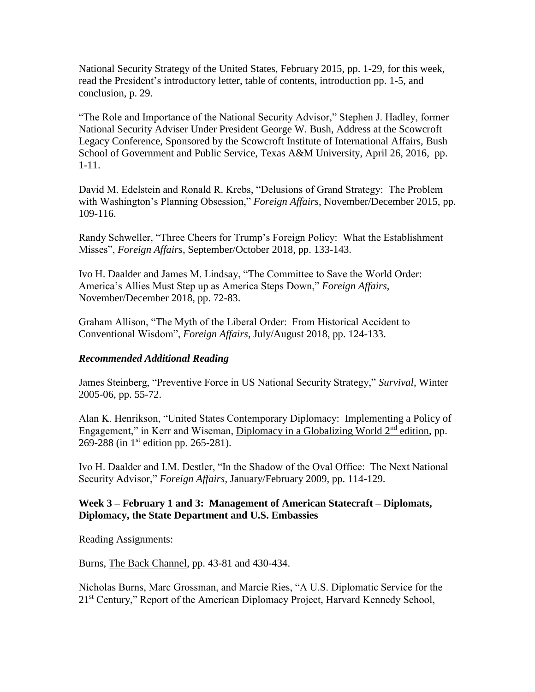National Security Strategy of the United States, February 2015, pp. 1-29, for this week, read the President's introductory letter, table of contents, introduction pp. 1-5, and conclusion, p. 29.

"The Role and Importance of the National Security Advisor," Stephen J. Hadley, former National Security Adviser Under President George W. Bush, Address at the Scowcroft Legacy Conference, Sponsored by the Scowcroft Institute of International Affairs, Bush School of Government and Public Service, Texas A&M University, April 26, 2016, pp. 1-11.

David M. Edelstein and Ronald R. Krebs, "Delusions of Grand Strategy: The Problem with Washington's Planning Obsession," *Foreign Affairs*, November/December 2015, pp. 109-116.

Randy Schweller, "Three Cheers for Trump's Foreign Policy: What the Establishment Misses", *Foreign Affairs*, September/October 2018, pp. 133-143.

Ivo H. Daalder and James M. Lindsay, "The Committee to Save the World Order: America's Allies Must Step up as America Steps Down," *Foreign Affairs*, November/December 2018, pp. 72-83.

Graham Allison, "The Myth of the Liberal Order: From Historical Accident to Conventional Wisdom", *Foreign Affairs*, July/August 2018, pp. 124-133.

# *Recommended Additional Reading*

James Steinberg, "Preventive Force in US National Security Strategy," *Survival*, Winter 2005-06, pp. 55-72.

Alan K. Henrikson, "United States Contemporary Diplomacy: Implementing a Policy of Engagement," in Kerr and Wiseman, Diplomacy in a Globalizing World 2<sup>nd</sup> edition, pp. 269-288 (in 1<sup>st</sup> edition pp. 265-281).

Ivo H. Daalder and I.M. Destler, "In the Shadow of the Oval Office: The Next National Security Advisor," *Foreign Affairs*, January/February 2009, pp. 114-129.

# **Week 3 – February 1 and 3: Management of American Statecraft – Diplomats, Diplomacy, the State Department and U.S. Embassies**

Reading Assignments:

Burns, The Back Channel, pp. 43-81 and 430-434.

Nicholas Burns, Marc Grossman, and Marcie Ries, "A U.S. Diplomatic Service for the 21<sup>st</sup> Century," Report of the American Diplomacy Project, Harvard Kennedy School,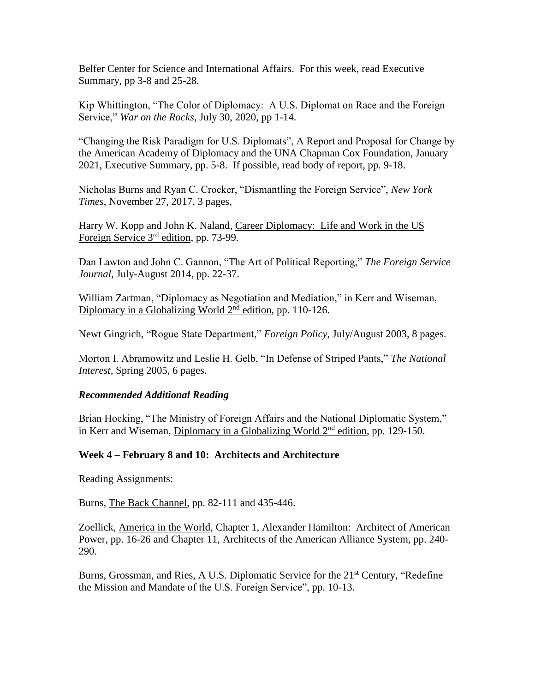Belfer Center for Science and International Affairs. For this week, read Executive Summary, pp 3-8 and 25-28.

Kip Whittington, "The Color of Diplomacy: A U.S. Diplomat on Race and the Foreign Service," *War on the Rocks*, July 30, 2020, pp 1-14.

"Changing the Risk Paradigm for U.S. Diplomats", A Report and Proposal for Change by the American Academy of Diplomacy and the UNA Chapman Cox Foundation, January 2021, Executive Summary, pp. 5-8. If possible, read body of report, pp. 9-18.

Nicholas Burns and Ryan C. Crocker, "Dismantling the Foreign Service", *New York Times*, November 27, 2017, 3 pages,

Harry W. Kopp and John K. Naland, Career Diplomacy: Life and Work in the US Foreign Service 3<sup>rd</sup> edition, pp. 73-99.

Dan Lawton and John C. Gannon, "The Art of Political Reporting," *The Foreign Service Journal*, July-August 2014, pp. 22-37.

William Zartman, "Diplomacy as Negotiation and Mediation," in Kerr and Wiseman, Diplomacy in a Globalizing World 2<sup>nd</sup> edition, pp. 110-126.

Newt Gingrich, "Rogue State Department," *Foreign Policy*, July/August 2003, 8 pages.

Morton I. Abramowitz and Leslie H. Gelb, "In Defense of Striped Pants," *The National Interest,* Spring 2005, 6 pages.

#### *Recommended Additional Reading*

Brian Hocking, "The Ministry of Foreign Affairs and the National Diplomatic System," in Kerr and Wiseman, Diplomacy in a Globalizing World 2<sup>nd</sup> edition, pp. 129-150.

# **Week 4 – February 8 and 10: Architects and Architecture**

Reading Assignments:

Burns, The Back Channel, pp. 82-111 and 435-446.

Zoellick, America in the World, Chapter 1, Alexander Hamilton: Architect of American Power, pp. 16-26 and Chapter 11, Architects of the American Alliance System, pp. 240- 290.

Burns, Grossman, and Ries, A U.S. Diplomatic Service for the 21<sup>st</sup> Century, "Redefine the Mission and Mandate of the U.S. Foreign Service", pp. 10-13.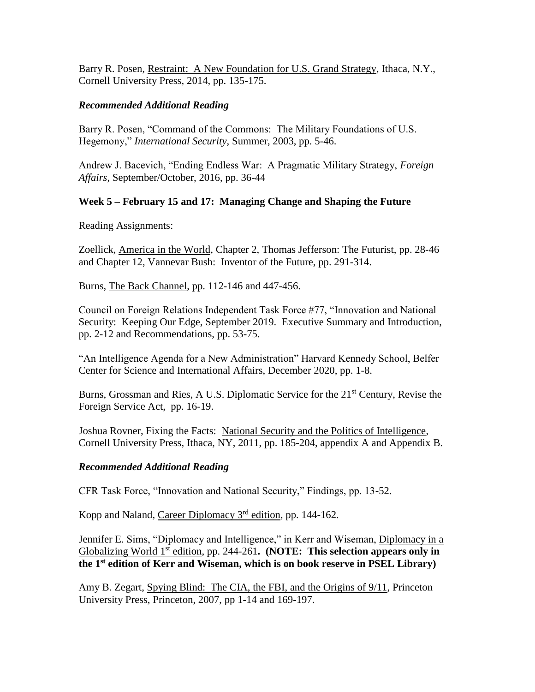Barry R. Posen, Restraint: A New Foundation for U.S. Grand Strategy, Ithaca, N.Y., Cornell University Press, 2014, pp. 135-175.

## *Recommended Additional Reading*

Barry R. Posen, "Command of the Commons: The Military Foundations of U.S. Hegemony," *International Security*, Summer, 2003, pp. 5-46.

Andrew J. Bacevich, "Ending Endless War: A Pragmatic Military Strategy, *Foreign Affairs*, September/October, 2016, pp. 36-44

## **Week 5 – February 15 and 17: Managing Change and Shaping the Future**

Reading Assignments:

Zoellick, America in the World, Chapter 2, Thomas Jefferson: The Futurist, pp. 28-46 and Chapter 12, Vannevar Bush: Inventor of the Future, pp. 291-314.

Burns, The Back Channel, pp. 112-146 and 447-456.

Council on Foreign Relations Independent Task Force #77, "Innovation and National Security: Keeping Our Edge, September 2019. Executive Summary and Introduction, pp. 2-12 and Recommendations, pp. 53-75.

"An Intelligence Agenda for a New Administration" Harvard Kennedy School, Belfer Center for Science and International Affairs, December 2020, pp. 1-8.

Burns, Grossman and Ries, A U.S. Diplomatic Service for the 21<sup>st</sup> Century, Revise the Foreign Service Act, pp. 16-19.

Joshua Rovner, Fixing the Facts: National Security and the Politics of Intelligence, Cornell University Press, Ithaca, NY, 2011, pp. 185-204, appendix A and Appendix B.

#### *Recommended Additional Reading*

CFR Task Force, "Innovation and National Security," Findings, pp. 13-52.

Kopp and Naland, Career Diplomacy 3<sup>rd</sup> edition, pp. 144-162.

Jennifer E. Sims, "Diplomacy and Intelligence," in Kerr and Wiseman, Diplomacy in a Globalizing World 1<sup>st</sup> edition, pp. 244-261. (NOTE: This selection appears only in **the 1st edition of Kerr and Wiseman, which is on book reserve in PSEL Library)**

Amy B. Zegart, Spying Blind: The CIA, the FBI, and the Origins of 9/11, Princeton University Press, Princeton, 2007, pp 1-14 and 169-197.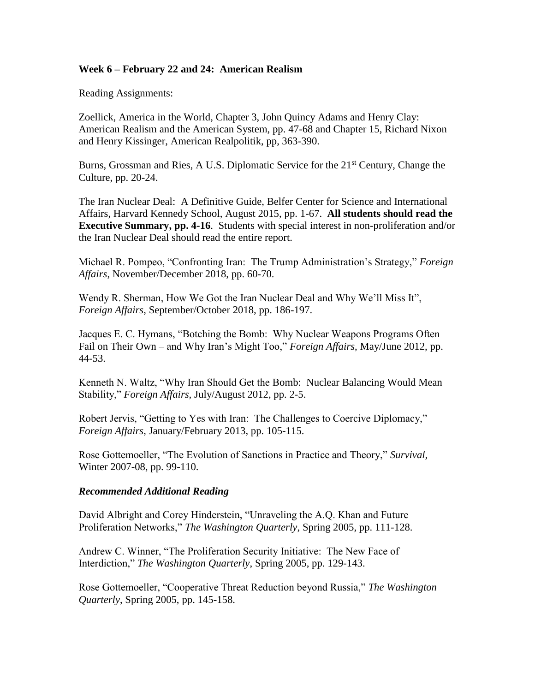## **Week 6 – February 22 and 24: American Realism**

Reading Assignments:

Zoellick, America in the World, Chapter 3, John Quincy Adams and Henry Clay: American Realism and the American System, pp. 47-68 and Chapter 15, Richard Nixon and Henry Kissinger, American Realpolitik, pp, 363-390.

Burns, Grossman and Ries, A U.S. Diplomatic Service for the 21<sup>st</sup> Century, Change the Culture, pp. 20-24.

The Iran Nuclear Deal: A Definitive Guide, Belfer Center for Science and International Affairs, Harvard Kennedy School, August 2015, pp. 1-67. **All students should read the Executive Summary, pp. 4-16**. Students with special interest in non-proliferation and/or the Iran Nuclear Deal should read the entire report.

Michael R. Pompeo, "Confronting Iran: The Trump Administration's Strategy," *Foreign Affairs*, November/December 2018, pp. 60-70.

Wendy R. Sherman, How We Got the Iran Nuclear Deal and Why We'll Miss It", *Foreign Affairs*, September/October 2018, pp. 186-197.

Jacques E. C. Hymans, "Botching the Bomb: Why Nuclear Weapons Programs Often Fail on Their Own – and Why Iran's Might Too," *Foreign Affairs*, May/June 2012, pp. 44-53.

Kenneth N. Waltz, "Why Iran Should Get the Bomb: Nuclear Balancing Would Mean Stability," *Foreign Affairs,* July/August 2012, pp. 2-5.

Robert Jervis, "Getting to Yes with Iran: The Challenges to Coercive Diplomacy," *Foreign Affairs*, January/February 2013, pp. 105-115.

Rose Gottemoeller, "The Evolution of Sanctions in Practice and Theory," *Survival,* Winter 2007-08, pp. 99-110.

#### *Recommended Additional Reading*

David Albright and Corey Hinderstein, "Unraveling the A.Q. Khan and Future Proliferation Networks," *The Washington Quarterly*, Spring 2005, pp. 111-128.

Andrew C. Winner, "The Proliferation Security Initiative: The New Face of Interdiction," *The Washington Quarterly*, Spring 2005, pp. 129-143.

Rose Gottemoeller, "Cooperative Threat Reduction beyond Russia," *The Washington Quarterly*, Spring 2005, pp. 145-158.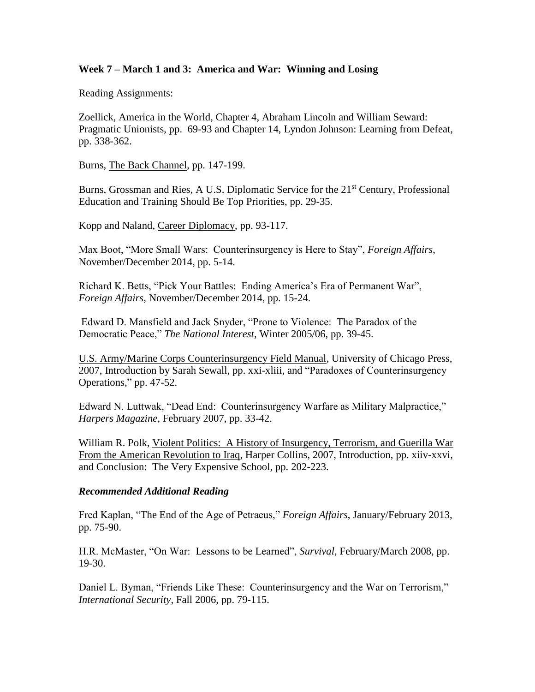## **Week 7 – March 1 and 3: America and War: Winning and Losing**

Reading Assignments:

Zoellick, America in the World, Chapter 4, Abraham Lincoln and William Seward: Pragmatic Unionists, pp. 69-93 and Chapter 14, Lyndon Johnson: Learning from Defeat, pp. 338-362.

Burns, The Back Channel, pp. 147-199.

Burns, Grossman and Ries, A U.S. Diplomatic Service for the 21<sup>st</sup> Century, Professional Education and Training Should Be Top Priorities, pp. 29-35.

Kopp and Naland, Career Diplomacy, pp. 93-117.

Max Boot, "More Small Wars: Counterinsurgency is Here to Stay", *Foreign Affairs*, November/December 2014, pp. 5-14.

Richard K. Betts, "Pick Your Battles: Ending America's Era of Permanent War", *Foreign Affairs*, November/December 2014, pp. 15-24.

Edward D. Mansfield and Jack Snyder, "Prone to Violence: The Paradox of the Democratic Peace," *The National Interest*, Winter 2005/06, pp. 39-45.

U.S. Army/Marine Corps Counterinsurgency Field Manual, University of Chicago Press, 2007, Introduction by Sarah Sewall, pp. xxi-xliii, and "Paradoxes of Counterinsurgency Operations," pp. 47-52.

Edward N. Luttwak, "Dead End: Counterinsurgency Warfare as Military Malpractice," *Harpers Magazine*, February 2007, pp. 33-42.

William R. Polk, Violent Politics: A History of Insurgency, Terrorism, and Guerilla War From the American Revolution to Iraq, Harper Collins, 2007, Introduction, pp. xiiv-xxvi, and Conclusion: The Very Expensive School, pp. 202-223.

#### *Recommended Additional Reading*

Fred Kaplan, "The End of the Age of Petraeus," *Foreign Affairs*, January/February 2013, pp. 75-90.

H.R. McMaster, "On War: Lessons to be Learned", *Survival*, February/March 2008, pp. 19-30.

Daniel L. Byman, "Friends Like These: Counterinsurgency and the War on Terrorism," *International Security*, Fall 2006, pp. 79-115.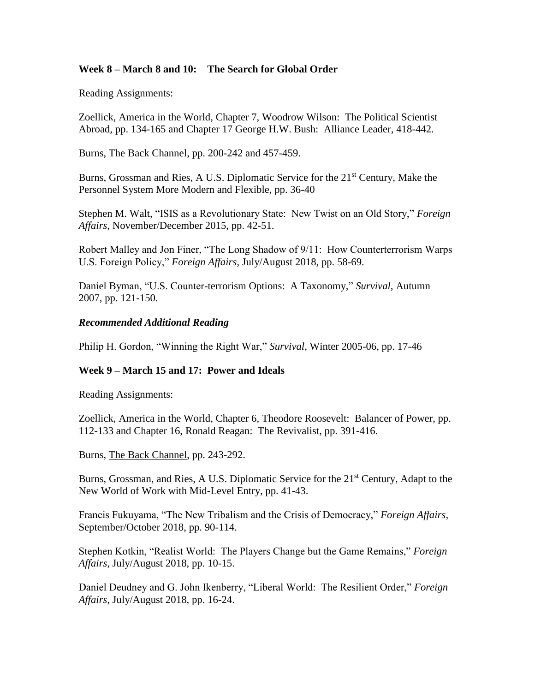# **Week 8 – March 8 and 10: The Search for Global Order**

Reading Assignments:

Zoellick, America in the World, Chapter 7, Woodrow Wilson: The Political Scientist Abroad, pp. 134-165 and Chapter 17 George H.W. Bush: Alliance Leader, 418-442.

Burns, The Back Channel, pp. 200-242 and 457-459.

Burns, Grossman and Ries, A U.S. Diplomatic Service for the 21<sup>st</sup> Century, Make the Personnel System More Modern and Flexible, pp. 36-40

Stephen M. Walt, "ISIS as a Revolutionary State: New Twist on an Old Story," *Foreign Affairs*, November/December 2015, pp. 42-51.

Robert Malley and Jon Finer, "The Long Shadow of 9/11: How Counterterrorism Warps U.S. Foreign Policy," *Foreign Affairs*, July/August 2018, pp. 58-69.

Daniel Byman, "U.S. Counter-terrorism Options: A Taxonomy," *Survival*, Autumn 2007, pp. 121-150.

#### *Recommended Additional Reading*

Philip H. Gordon, "Winning the Right War," *Survival*, Winter 2005-06, pp. 17-46

#### **Week 9 – March 15 and 17: Power and Ideals**

Reading Assignments:

Zoellick, America in the World, Chapter 6, Theodore Roosevelt: Balancer of Power, pp. 112-133 and Chapter 16, Ronald Reagan: The Revivalist, pp. 391-416.

Burns, The Back Channel, pp. 243-292.

Burns, Grossman, and Ries, A U.S. Diplomatic Service for the 21<sup>st</sup> Century, Adapt to the New World of Work with Mid-Level Entry, pp. 41-43.

Francis Fukuyama, "The New Tribalism and the Crisis of Democracy," *Foreign Affairs*, September/October 2018, pp. 90-114.

Stephen Kotkin, "Realist World: The Players Change but the Game Remains," *Foreign Affairs*, July/August 2018, pp. 10-15.

Daniel Deudney and G. John Ikenberry, "Liberal World: The Resilient Order," *Foreign Affairs*, July/August 2018, pp. 16-24.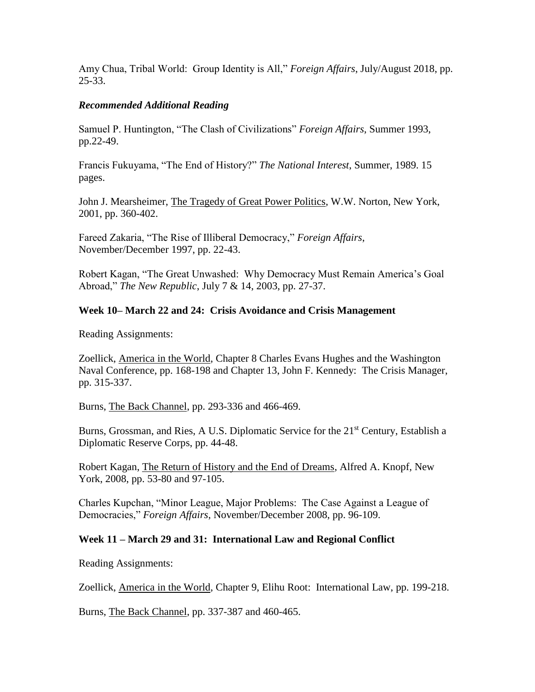Amy Chua, Tribal World: Group Identity is All," *Foreign Affairs*, July/August 2018, pp. 25-33.

### *Recommended Additional Reading*

Samuel P. Huntington, "The Clash of Civilizations" *Foreign Affairs*, Summer 1993, pp.22-49.

Francis Fukuyama, "The End of History?" *The National Interest*, Summer, 1989. 15 pages.

John J. Mearsheimer, The Tragedy of Great Power Politics, W.W. Norton, New York, 2001, pp. 360-402.

Fareed Zakaria, "The Rise of Illiberal Democracy," *Foreign Affairs*, November/December 1997, pp. 22-43.

Robert Kagan, "The Great Unwashed: Why Democracy Must Remain America's Goal Abroad," *The New Republic*, July 7 & 14, 2003, pp. 27-37.

## **Week 10– March 22 and 24: Crisis Avoidance and Crisis Management**

Reading Assignments:

Zoellick, America in the World, Chapter 8 Charles Evans Hughes and the Washington Naval Conference, pp. 168-198 and Chapter 13, John F. Kennedy: The Crisis Manager, pp. 315-337.

Burns, The Back Channel, pp. 293-336 and 466-469.

Burns, Grossman, and Ries, A U.S. Diplomatic Service for the 21<sup>st</sup> Century, Establish a Diplomatic Reserve Corps, pp. 44-48.

Robert Kagan, The Return of History and the End of Dreams, Alfred A. Knopf, New York, 2008, pp. 53-80 and 97-105.

Charles Kupchan, "Minor League, Major Problems: The Case Against a League of Democracies," *Foreign Affairs*, November/December 2008, pp. 96-109.

# **Week 11 – March 29 and 31: International Law and Regional Conflict**

Reading Assignments:

Zoellick, America in the World, Chapter 9, Elihu Root: International Law, pp. 199-218.

Burns, The Back Channel, pp. 337-387 and 460-465.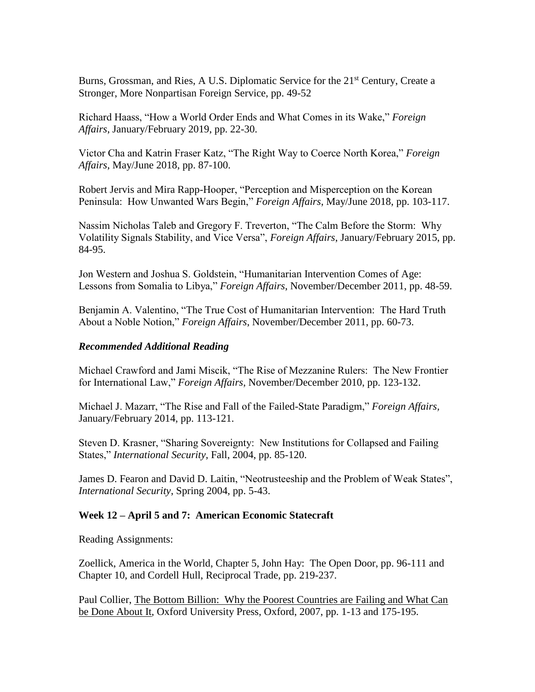Burns, Grossman, and Ries, A U.S. Diplomatic Service for the 21<sup>st</sup> Century, Create a Stronger, More Nonpartisan Foreign Service, pp. 49-52

Richard Haass, "How a World Order Ends and What Comes in its Wake," *Foreign Affairs*, January/February 2019, pp. 22-30.

Victor Cha and Katrin Fraser Katz, "The Right Way to Coerce North Korea," *Foreign Affairs*, May/June 2018, pp. 87-100.

Robert Jervis and Mira Rapp-Hooper, "Perception and Misperception on the Korean Peninsula: How Unwanted Wars Begin," *Foreign Affairs*, May/June 2018, pp. 103-117.

Nassim Nicholas Taleb and Gregory F. Treverton, "The Calm Before the Storm: Why Volatility Signals Stability, and Vice Versa", *Foreign Affairs*, January/February 2015, pp. 84-95.

Jon Western and Joshua S. Goldstein, "Humanitarian Intervention Comes of Age: Lessons from Somalia to Libya," *Foreign Affairs*, November/December 2011, pp. 48-59.

Benjamin A. Valentino, "The True Cost of Humanitarian Intervention: The Hard Truth About a Noble Notion," *Foreign Affairs*, November/December 2011, pp. 60-73.

## *Recommended Additional Reading*

Michael Crawford and Jami Miscik, "The Rise of Mezzanine Rulers: The New Frontier for International Law," *Foreign Affairs*, November/December 2010, pp. 123-132.

Michael J. Mazarr, "The Rise and Fall of the Failed-State Paradigm," *Foreign Affairs,* January/February 2014, pp. 113-121.

Steven D. Krasner, "Sharing Sovereignty: New Institutions for Collapsed and Failing States," *International Security*, Fall, 2004, pp. 85-120.

James D. Fearon and David D. Laitin, "Neotrusteeship and the Problem of Weak States", *International Security*, Spring 2004, pp. 5-43.

#### **Week 12 – April 5 and 7: American Economic Statecraft**

Reading Assignments:

Zoellick, America in the World, Chapter 5, John Hay: The Open Door, pp. 96-111 and Chapter 10, and Cordell Hull, Reciprocal Trade, pp. 219-237.

Paul Collier, The Bottom Billion: Why the Poorest Countries are Failing and What Can be Done About It, Oxford University Press, Oxford, 2007, pp. 1-13 and 175-195.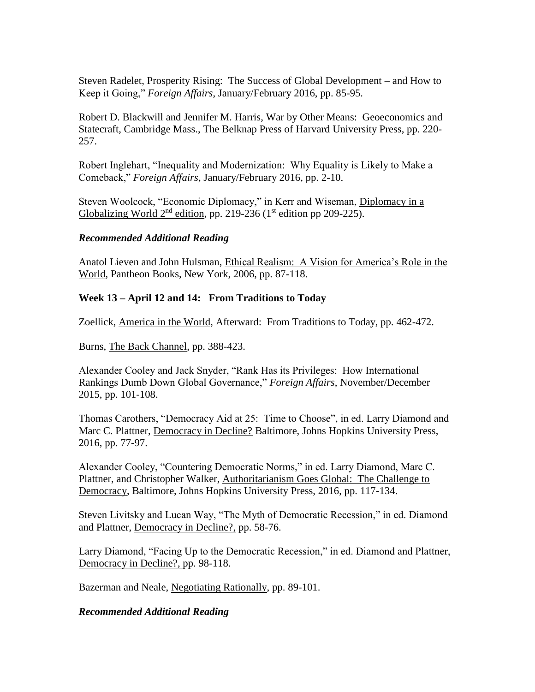Steven Radelet, Prosperity Rising: The Success of Global Development – and How to Keep it Going," *Foreign Affairs*, January/February 2016, pp. 85-95.

Robert D. Blackwill and Jennifer M. Harris, War by Other Means: Geoeconomics and Statecraft, Cambridge Mass., The Belknap Press of Harvard University Press, pp. 220- 257.

Robert Inglehart, "Inequality and Modernization: Why Equality is Likely to Make a Comeback," *Foreign Affairs*, January/February 2016, pp. 2-10.

Steven Woolcock, "Economic Diplomacy," in Kerr and Wiseman, Diplomacy in a Globalizing World  $2<sup>nd</sup>$  edition, pp. 219-236 (1<sup>st</sup> edition pp 209-225).

## *Recommended Additional Reading*

Anatol Lieven and John Hulsman, Ethical Realism: A Vision for America's Role in the World, Pantheon Books, New York, 2006, pp. 87-118.

# **Week 13 – April 12 and 14: From Traditions to Today**

Zoellick, America in the World, Afterward: From Traditions to Today, pp. 462-472.

Burns, The Back Channel, pp. 388-423.

Alexander Cooley and Jack Snyder, "Rank Has its Privileges: How International Rankings Dumb Down Global Governance," *Foreign Affairs*, November/December 2015, pp. 101-108.

Thomas Carothers, "Democracy Aid at 25: Time to Choose", in ed. Larry Diamond and Marc C. Plattner, Democracy in Decline? Baltimore, Johns Hopkins University Press, 2016, pp. 77-97.

Alexander Cooley, "Countering Democratic Norms," in ed. Larry Diamond, Marc C. Plattner, and Christopher Walker, Authoritarianism Goes Global: The Challenge to Democracy, Baltimore, Johns Hopkins University Press, 2016, pp. 117-134.

Steven Livitsky and Lucan Way, "The Myth of Democratic Recession," in ed. Diamond and Plattner, Democracy in Decline?, pp. 58-76.

Larry Diamond, "Facing Up to the Democratic Recession," in ed. Diamond and Plattner, Democracy in Decline?, pp. 98-118.

Bazerman and Neale, Negotiating Rationally, pp. 89-101.

*Recommended Additional Reading*